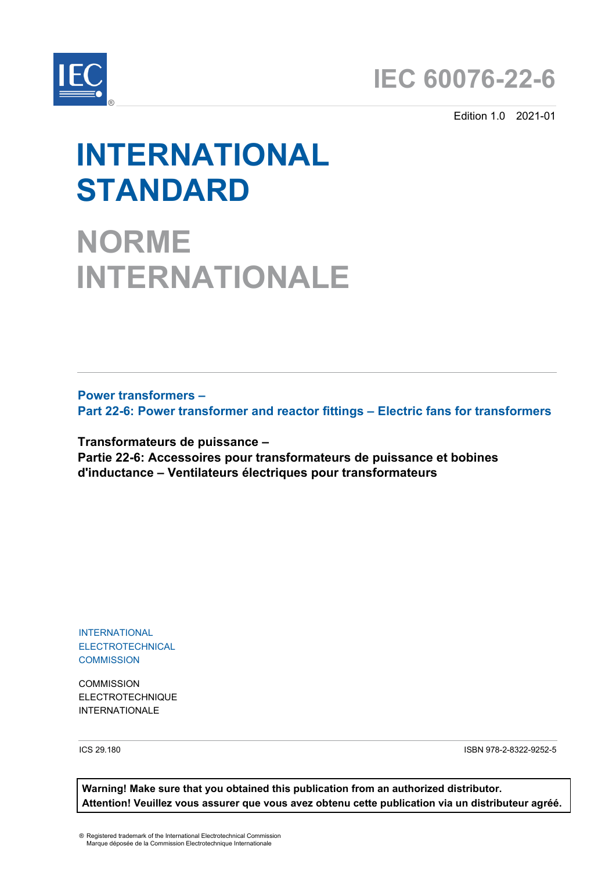



Edition 1.0 2021-01

# **INTERNATIONAL STANDARD**

**NORME INTERNATIONALE**

**Power transformers – Part 22-6: Power transformer and reactor fittings – Electric fans for transformers**

**Transformateurs de puissance – Partie 22-6: Accessoires pour transformateurs de puissance et bobines d'inductance – Ventilateurs électriques pour transformateurs** 

INTERNATIONAL ELECTROTECHNICAL **COMMISSION** 

**COMMISSION** ELECTROTECHNIQUE INTERNATIONALE

ICS 29.180 ISBN 978-2-8322-9252-5

**Warning! Make sure that you obtained this publication from an authorized distributor. Attention! Veuillez vous assurer que vous avez obtenu cette publication via un distributeur agréé.**

® Registered trademark of the International Electrotechnical Commission Marque déposée de la Commission Electrotechnique Internationale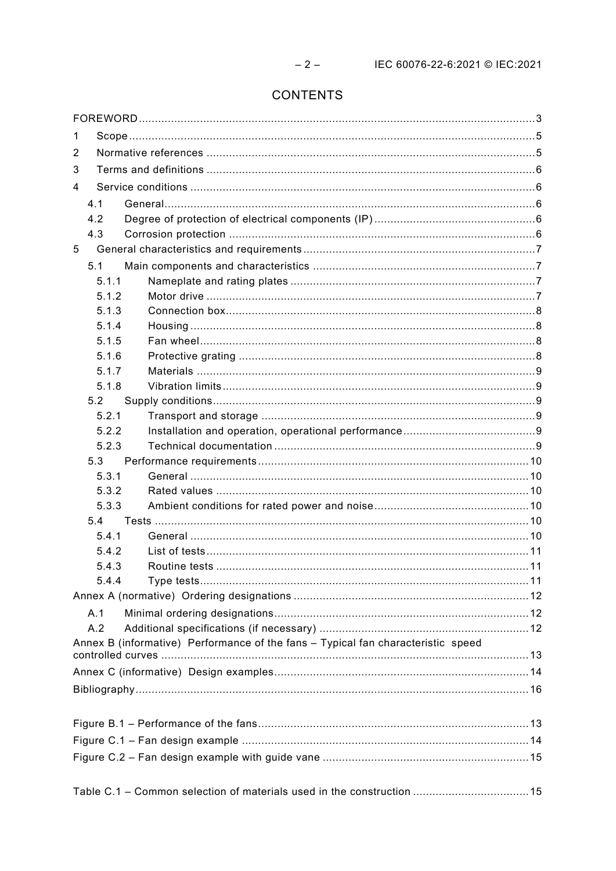# CONTENTS

| 1                                                                                |  |
|----------------------------------------------------------------------------------|--|
| 2                                                                                |  |
| 3                                                                                |  |
| 4                                                                                |  |
| 4.1                                                                              |  |
| 4.2                                                                              |  |
| 4.3                                                                              |  |
| 5                                                                                |  |
| 5.1                                                                              |  |
| 5.1.1                                                                            |  |
| 5.1.2                                                                            |  |
| 5.1.3                                                                            |  |
| 5.1.4                                                                            |  |
| 5.1.5                                                                            |  |
| 5.1.6                                                                            |  |
| 5.1.7                                                                            |  |
| 5.1.8                                                                            |  |
| 5.2                                                                              |  |
| 5.2.1                                                                            |  |
| 5.2.2                                                                            |  |
| 5.2.3                                                                            |  |
| 5.3                                                                              |  |
| 5.3.1                                                                            |  |
| 5.3.2                                                                            |  |
| 5.3.3                                                                            |  |
| 5.4                                                                              |  |
| 5.4.1                                                                            |  |
| 5.4.2                                                                            |  |
| 5.4.3                                                                            |  |
| 5.4.4                                                                            |  |
|                                                                                  |  |
| A.1                                                                              |  |
| A.2                                                                              |  |
| Annex B (informative) Performance of the fans - Typical fan characteristic speed |  |
|                                                                                  |  |
|                                                                                  |  |
|                                                                                  |  |
|                                                                                  |  |
|                                                                                  |  |
|                                                                                  |  |
|                                                                                  |  |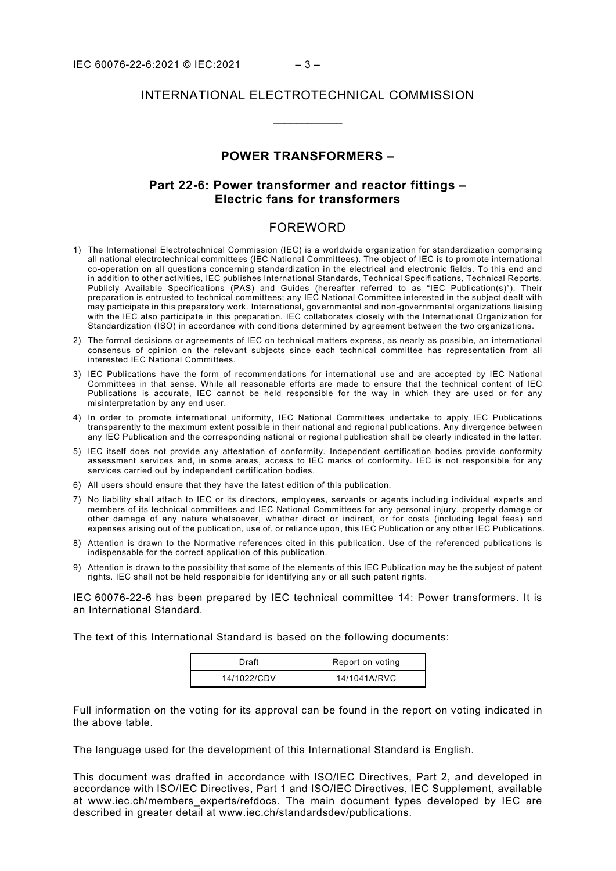# INTERNATIONAL ELECTROTECHNICAL COMMISSION

\_\_\_\_\_\_\_\_\_\_\_\_

# **POWER TRANSFORMERS –**

# **Part 22-6: Power transformer and reactor fittings – Electric fans for transformers**

# **FOREWORD**

- <span id="page-2-0"></span>1) The International Electrotechnical Commission (IEC) is a worldwide organization for standardization comprising all national electrotechnical committees (IEC National Committees). The object of IEC is to promote international co-operation on all questions concerning standardization in the electrical and electronic fields. To this end and in addition to other activities, IEC publishes International Standards, Technical Specifications, Technical Reports, Publicly Available Specifications (PAS) and Guides (hereafter referred to as "IEC Publication(s)"). Their preparation is entrusted to technical committees; any IEC National Committee interested in the subject dealt with may participate in this preparatory work. International, governmental and non-governmental organizations liaising with the IEC also participate in this preparation. IEC collaborates closely with the International Organization for Standardization (ISO) in accordance with conditions determined by agreement between the two organizations.
- 2) The formal decisions or agreements of IEC on technical matters express, as nearly as possible, an international consensus of opinion on the relevant subjects since each technical committee has representation from all interested IEC National Committees.
- 3) IEC Publications have the form of recommendations for international use and are accepted by IEC National Committees in that sense. While all reasonable efforts are made to ensure that the technical content of IEC Publications is accurate, IEC cannot be held responsible for the way in which they are used or for any misinterpretation by any end user.
- 4) In order to promote international uniformity, IEC National Committees undertake to apply IEC Publications transparently to the maximum extent possible in their national and regional publications. Any divergence between any IEC Publication and the corresponding national or regional publication shall be clearly indicated in the latter.
- 5) IEC itself does not provide any attestation of conformity. Independent certification bodies provide conformity assessment services and, in some areas, access to IEC marks of conformity. IEC is not responsible for any services carried out by independent certification bodies.
- 6) All users should ensure that they have the latest edition of this publication.
- 7) No liability shall attach to IEC or its directors, employees, servants or agents including individual experts and members of its technical committees and IEC National Committees for any personal injury, property damage or other damage of any nature whatsoever, whether direct or indirect, or for costs (including legal fees) and expenses arising out of the publication, use of, or reliance upon, this IEC Publication or any other IEC Publications.
- 8) Attention is drawn to the Normative references cited in this publication. Use of the referenced publications is indispensable for the correct application of this publication.
- 9) Attention is drawn to the possibility that some of the elements of this IEC Publication may be the subject of patent rights. IEC shall not be held responsible for identifying any or all such patent rights.

IEC 60076-22-6 has been prepared by IEC technical committee 14: Power transformers. It is an International Standard.

The text of this International Standard is based on the following documents:

| Draft       | Report on voting |
|-------------|------------------|
| 14/1022/CDV | 14/1041A/RVC     |

Full information on the voting for its approval can be found in the report on voting indicated in the above table.

The language used for the development of this International Standard is English.

This document was drafted in accordance with ISO/IEC Directives, Part 2, and developed in accordance with ISO/IEC Directives, Part 1 and ISO/IEC Directives, IEC Supplement, available at [www.iec.ch/members\\_experts/refdocs.](http://www.iec.ch/members_experts/refdocs) The main document types developed by IEC are described in greater detail at www.iec.ch/standardsdev/publications.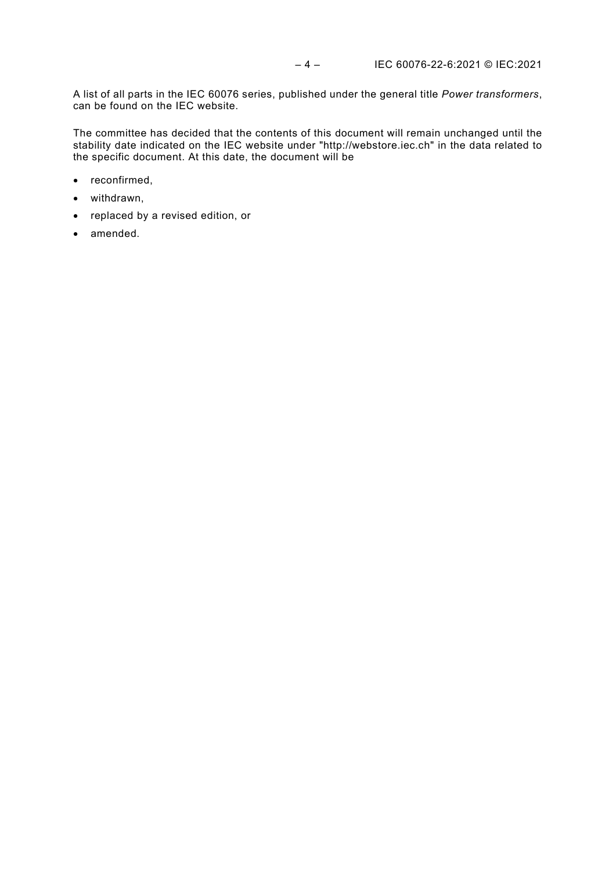A list of all parts in the IEC 60076 series, published under the general title *Power transformers*, can be found on the IEC website.

The committee has decided that the contents of this document will remain unchanged until the stability date indicated on the IEC website under "http://webstore.iec.ch" in the data related to the specific document. At this date, the document will be

- reconfirmed,
- withdrawn,
- replaced by a revised edition, or
- amended.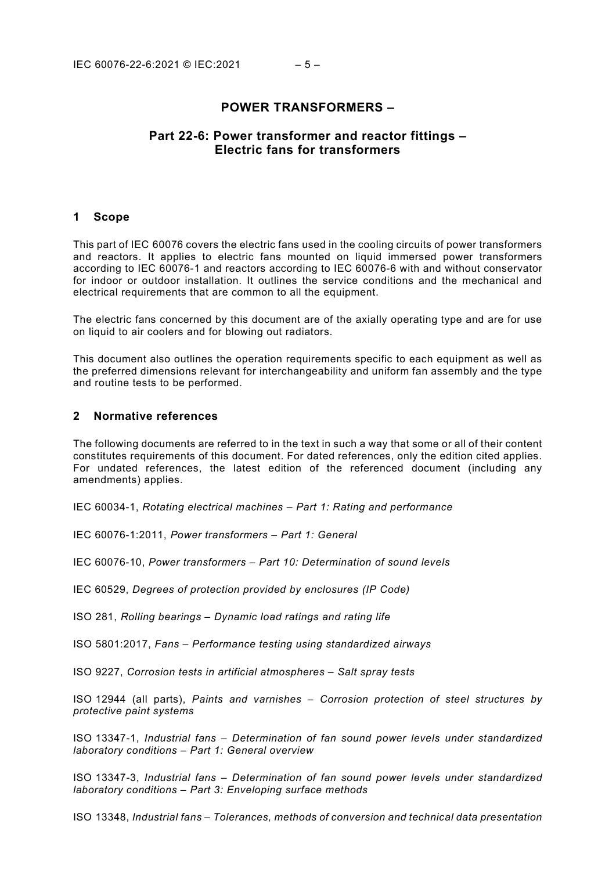#### **POWER TRANSFORMERS –**

# **Part 22-6: Power transformer and reactor fittings – Electric fans for transformers**

#### <span id="page-4-0"></span>**1 Scope**

This part of IEC 60076 covers the electric fans used in the cooling circuits of power transformers and reactors. It applies to electric fans mounted on liquid immersed power transformers according to IEC 60076-1 and reactors according to IEC 60076-6 with and without conservator for indoor or outdoor installation. It outlines the service conditions and the mechanical and electrical requirements that are common to all the equipment.

The electric fans concerned by this document are of the axially operating type and are for use on liquid to air coolers and for blowing out radiators.

This document also outlines the operation requirements specific to each equipment as well as the preferred dimensions relevant for interchangeability and uniform fan assembly and the type and routine tests to be performed.

#### <span id="page-4-1"></span>**2 Normative references**

The following documents are referred to in the text in such a way that some or all of their content constitutes requirements of this document. For dated references, only the edition cited applies. For undated references, the latest edition of the referenced document (including any amendments) applies.

IEC 60034-1, *Rotating electrical machines – Part 1: Rating and performance*

IEC 60076-1:2011, *Power transformers – Part 1: General*

IEC 60076-10, *Power transformers – Part 10: Determination of sound levels*

IEC 60529, *Degrees of protection provided by enclosures (IP Code)*

ISO 281, *Rolling bearings – Dynamic load ratings and rating life*

ISO 5801:2017, *Fans – Performance testing using standardized airways*

ISO 9227, *Corrosion tests in artificial atmospheres – Salt spray tests*

ISO 12944 (all parts), *Paints and varnishes – Corrosion protection of steel structures by protective paint systems*

ISO 13347-1, *Industrial fans – Determination of fan sound power levels under standardized laboratory conditions – Part 1: General overview*

ISO 13347-3, *Industrial fans – Determination of fan sound power levels under standardized laboratory conditions – Part 3: Enveloping surface methods*

ISO 13348, *Industrial fans – Tolerances, methods of conversion and technical data presentation*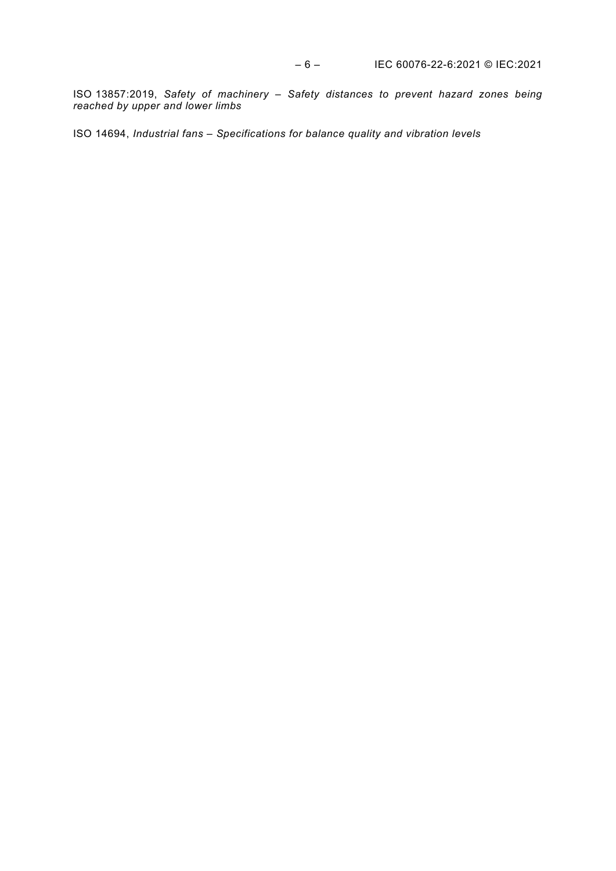ISO 13857:2019, *Safety of machinery – Safety distances to prevent hazard zones being reached by upper and lower limbs*

<span id="page-5-4"></span><span id="page-5-3"></span><span id="page-5-2"></span><span id="page-5-1"></span><span id="page-5-0"></span>ISO 14694, *Industrial fans – Specifications for balance quality and vibration levels*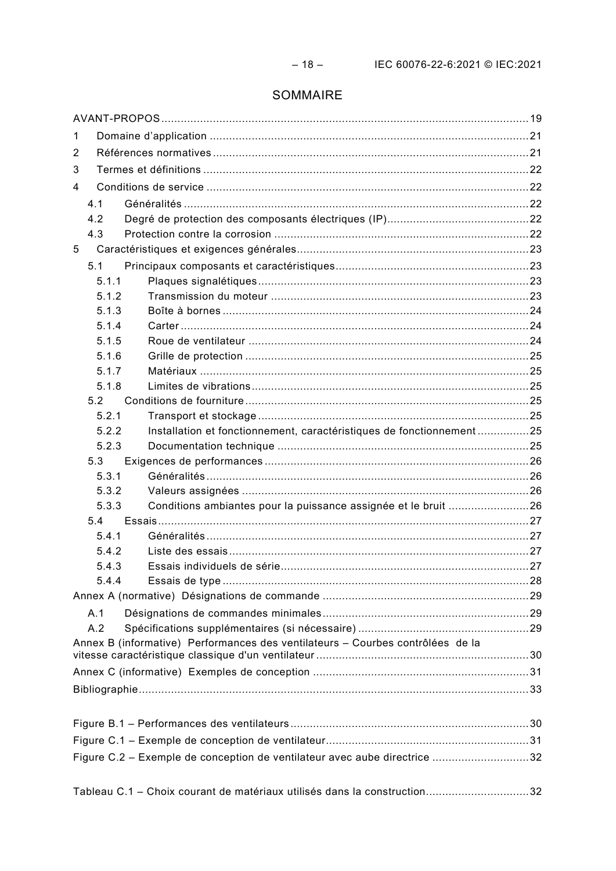# SOMMAIRE

| 1              |                                                                                |  |
|----------------|--------------------------------------------------------------------------------|--|
| 2              |                                                                                |  |
| 3              |                                                                                |  |
| 4              |                                                                                |  |
| 4.1            |                                                                                |  |
| 4.2            |                                                                                |  |
| 4.3            |                                                                                |  |
| 5              |                                                                                |  |
| 5.1            |                                                                                |  |
| 5.1.1          |                                                                                |  |
| 5.1.2          |                                                                                |  |
| 5.1.3          |                                                                                |  |
| 5.1.4          |                                                                                |  |
| 5.1.5          |                                                                                |  |
| 5.1.6          |                                                                                |  |
| 5.1.7          |                                                                                |  |
| 5.1.8          |                                                                                |  |
| 5.2            |                                                                                |  |
| 5.2.1          |                                                                                |  |
| 5.2.2          | Installation et fonctionnement, caractéristiques de fonctionnement25           |  |
| 5.2.3          |                                                                                |  |
| 5.3            |                                                                                |  |
| 5.3.1          |                                                                                |  |
| 5.3.2          |                                                                                |  |
| 5.3.3          | Conditions ambiantes pour la puissance assignée et le bruit 26                 |  |
| 5.4            |                                                                                |  |
| 5.4.1<br>5.4.2 |                                                                                |  |
| 5.4.3          |                                                                                |  |
| 5.4.4          |                                                                                |  |
|                |                                                                                |  |
| A.1            |                                                                                |  |
| A.2            |                                                                                |  |
|                | Annex B (informative) Performances des ventilateurs - Courbes contrôlées de la |  |
|                |                                                                                |  |
|                |                                                                                |  |
|                |                                                                                |  |
|                |                                                                                |  |
|                |                                                                                |  |
|                |                                                                                |  |
|                |                                                                                |  |
|                | Figure C.2 - Exemple de conception de ventilateur avec aube directrice 32      |  |
|                |                                                                                |  |
|                | Tableau C.1 - Choix courant de matériaux utilisés dans la construction32       |  |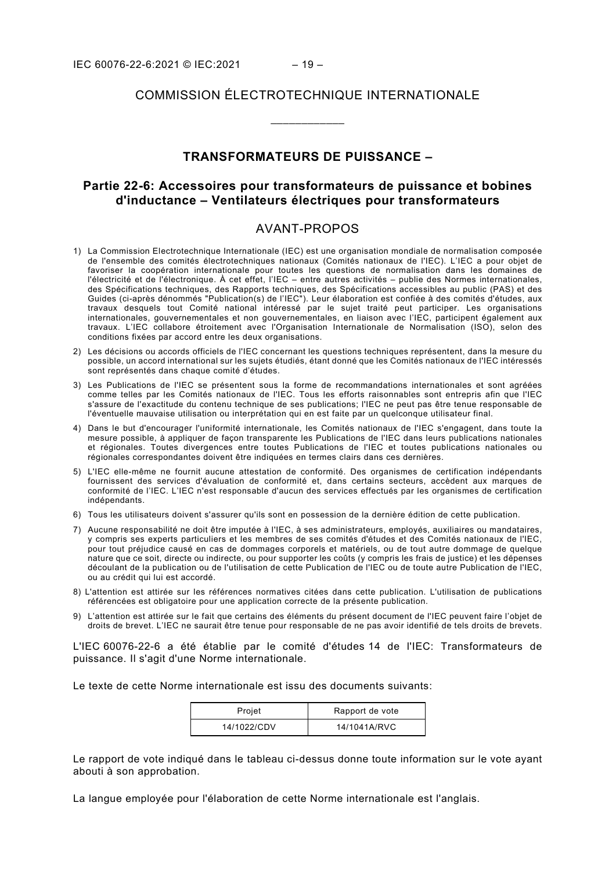# COMMISSION ÉLECTROTECHNIQUE INTERNATIONALE

\_\_\_\_\_\_\_\_\_\_\_\_

# **TRANSFORMATEURS DE PUISSANCE –**

# **Partie 22-6: Accessoires pour transformateurs de puissance et bobines d'inductance – Ventilateurs électriques pour transformateurs**

#### AVANT-PROPOS

- <span id="page-7-0"></span>1) La Commission Electrotechnique Internationale (IEC) est une organisation mondiale de normalisation composée de l'ensemble des comités électrotechniques nationaux (Comités nationaux de l'IEC). L'IEC a pour objet de favoriser la coopération internationale pour toutes les questions de normalisation dans les domaines de l'électricité et de l'électronique. À cet effet, l'IEC – entre autres activités – publie des Normes internationales, des Spécifications techniques, des Rapports techniques, des Spécifications accessibles au public (PAS) et des Guides (ci-après dénommés "Publication(s) de l'IEC"). Leur élaboration est confiée à des comités d'études, aux travaux desquels tout Comité national intéressé par le sujet traité peut participer. Les organisations internationales, gouvernementales et non gouvernementales, en liaison avec l'IEC, participent également aux travaux. L'IEC collabore étroitement avec l'Organisation Internationale de Normalisation (ISO), selon des conditions fixées par accord entre les deux organisations.
- 2) Les décisions ou accords officiels de l'IEC concernant les questions techniques représentent, dans la mesure du possible, un accord international sur les sujets étudiés, étant donné que les Comités nationaux de l'IEC intéressés sont représentés dans chaque comité d'études.
- 3) Les Publications de l'IEC se présentent sous la forme de recommandations internationales et sont agréées comme telles par les Comités nationaux de l'IEC. Tous les efforts raisonnables sont entrepris afin que l'IEC s'assure de l'exactitude du contenu technique de ses publications; l'IEC ne peut pas être tenue responsable de l'éventuelle mauvaise utilisation ou interprétation qui en est faite par un quelconque utilisateur final.
- 4) Dans le but d'encourager l'uniformité internationale, les Comités nationaux de l'IEC s'engagent, dans toute la mesure possible, à appliquer de façon transparente les Publications de l'IEC dans leurs publications nationales et régionales. Toutes divergences entre toutes Publications de l'IEC et toutes publications nationales ou régionales correspondantes doivent être indiquées en termes clairs dans ces dernières.
- 5) L'IEC elle-même ne fournit aucune attestation de conformité. Des organismes de certification indépendants fournissent des services d'évaluation de conformité et, dans certains secteurs, accèdent aux marques de conformité de l'IEC. L'IEC n'est responsable d'aucun des services effectués par les organismes de certification indépendants.
- 6) Tous les utilisateurs doivent s'assurer qu'ils sont en possession de la dernière édition de cette publication.
- 7) Aucune responsabilité ne doit être imputée à l'IEC, à ses administrateurs, employés, auxiliaires ou mandataires, y compris ses experts particuliers et les membres de ses comités d'études et des Comités nationaux de l'IEC, pour tout préjudice causé en cas de dommages corporels et matériels, ou de tout autre dommage de quelque nature que ce soit, directe ou indirecte, ou pour supporter les coûts (y compris les frais de justice) et les dépenses découlant de la publication ou de l'utilisation de cette Publication de l'IEC ou de toute autre Publication de l'IEC, ou au crédit qui lui est accordé.
- 8) L'attention est attirée sur les références normatives citées dans cette publication. L'utilisation de publications référencées est obligatoire pour une application correcte de la présente publication.
- 9) L'attention est attirée sur le fait que certains des éléments du présent document de l'IEC peuvent faire l'objet de droits de brevet. L'IEC ne saurait être tenue pour responsable de ne pas avoir identifié de tels droits de brevets.

L'IEC 60076-22-6 a été établie par le comité d'études 14 de l'IEC: Transformateurs de puissance. Il s'agit d'une Norme internationale.

Le texte de cette Norme internationale est issu des documents suivants:

| Projet      | Rapport de vote |
|-------------|-----------------|
| 14/1022/CDV | 14/1041A/RVC    |

Le rapport de vote indiqué dans le tableau ci-dessus donne toute information sur le vote ayant abouti à son approbation.

La langue employée pour l'élaboration de cette Norme internationale est l'anglais.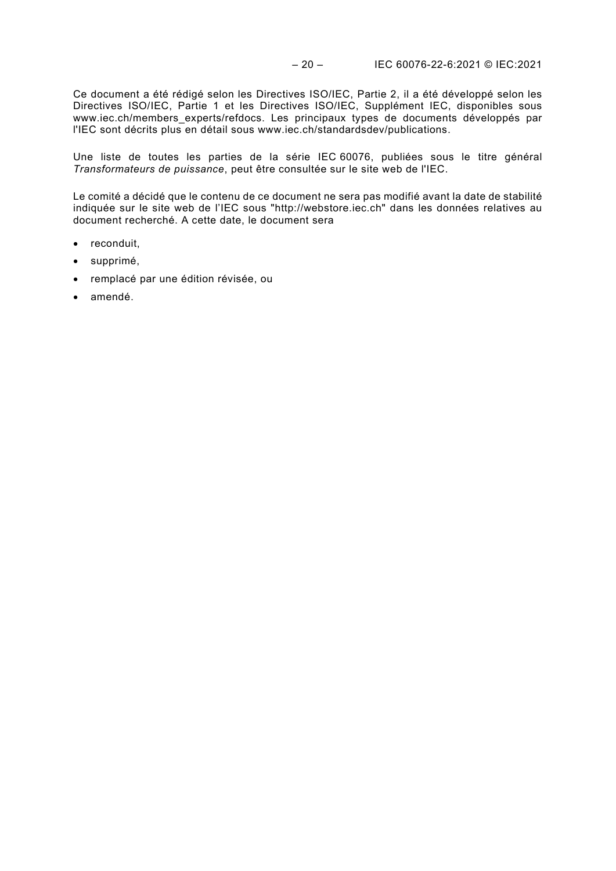Ce document a été rédigé selon les Directives ISO/IEC, Partie 2, il a été développé selon les Directives ISO/IEC, Partie 1 et les Directives ISO/IEC, Supplément IEC, disponibles sous www.iec.ch/members\_experts/refdocs. Les principaux types de documents développés par l'IEC sont décrits plus en détail sous www.iec.ch/standardsdev/publications.

Une liste de toutes les parties de la série IEC 60076, publiées sous le titre général *Transformateurs de puissance*, peut être consultée sur le site web de l'IEC.

Le comité a décidé que le contenu de ce document ne sera pas modifié avant la date de stabilité indiquée sur le site web de l'IEC sous "http://webstore.iec.ch" dans les données relatives au document recherché. A cette date, le document sera

- reconduit,
- supprimé,
- remplacé par une édition révisée, ou
- amendé.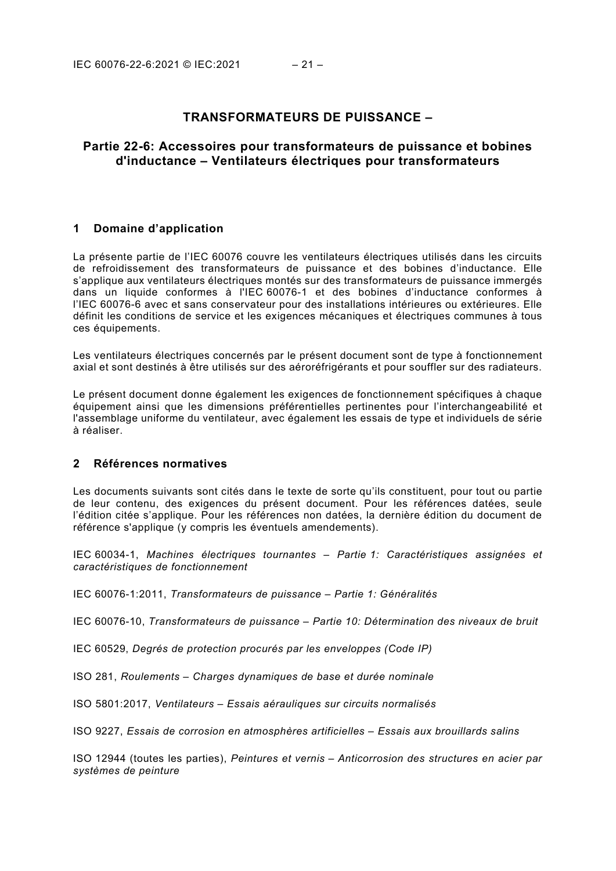# **TRANSFORMATEURS DE PUISSANCE –**

# **Partie 22-6: Accessoires pour transformateurs de puissance et bobines d'inductance – Ventilateurs électriques pour transformateurs**

# <span id="page-9-0"></span>**1 Domaine d'application**

La présente partie de l'IEC 60076 couvre les ventilateurs électriques utilisés dans les circuits de refroidissement des transformateurs de puissance et des bobines d'inductance. Elle s'applique aux ventilateurs électriques montés sur des transformateurs de puissance immergés dans un liquide conformes à l'IEC 60076-1 et des bobines d'inductance conformes à l'IEC 60076-6 avec et sans conservateur pour des installations intérieures ou extérieures. Elle définit les conditions de service et les exigences mécaniques et électriques communes à tous ces équipements.

Les ventilateurs électriques concernés par le présent document sont de type à fonctionnement axial et sont destinés à être utilisés sur des aéroréfrigérants et pour souffler sur des radiateurs.

Le présent document donne également les exigences de fonctionnement spécifiques à chaque équipement ainsi que les dimensions préférentielles pertinentes pour l'interchangeabilité et l'assemblage uniforme du ventilateur, avec également les essais de type et individuels de série à réaliser.

#### <span id="page-9-1"></span>**2 Références normatives**

Les documents suivants sont cités dans le texte de sorte qu'ils constituent, pour tout ou partie de leur contenu, des exigences du présent document. Pour les références datées, seule l'édition citée s'applique. Pour les références non datées, la dernière édition du document de référence s'applique (y compris les éventuels amendements).

IEC 60034-1, *Machines électriques tournantes – Partie 1: Caractéristiques assignées et caractéristiques de fonctionnement*

IEC 60076-1:2011, *Transformateurs de puissance – Partie 1: Généralités*

IEC 60076-10, *Transformateurs de puissance – Partie 10: Détermination des niveaux de bruit*

IEC 60529, *Degrés de protection procurés par les enveloppes (Code IP)*

ISO 281, *Roulements – Charges dynamiques de base et durée nominale*

ISO 5801:2017, *Ventilateurs – Essais aérauliques sur circuits normalisés*

ISO 9227, *Essais de corrosion en atmosphères artificielles – Essais aux brouillards salins*

ISO 12944 (toutes les parties), *Peintures et vernis – Anticorrosion des structures en acier par systèmes de peinture*